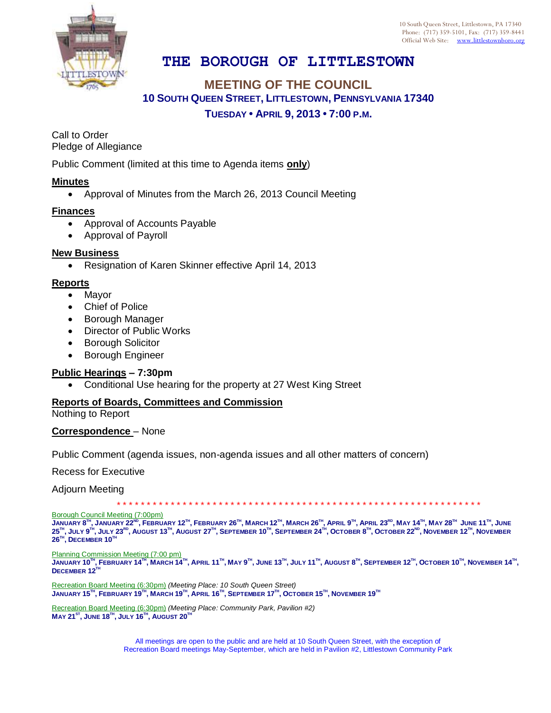

10 South Queen Street, Littlestown, PA 17340 Phone: (717) 359-5101, Fax: (717) 359-8441 Official Web Site: [www.littlestownboro.org](http://www.littlestown.us/)

# **THE BOROUGH OF LITTLESTOWN**

## **MEETING OF THE COUNCIL 10 SOUTH QUEEN STREET, LITTLESTOWN, PENNSYLVANIA 17340 TUESDAY • APRIL 9, 2013 • 7:00 P.M.**

Call to Order Pledge of Allegiance

Public Comment (limited at this time to Agenda items **only**)

#### **Minutes**

Approval of Minutes from the March 26, 2013 Council Meeting

#### **Finances**

- Approval of Accounts Payable
- Approval of Payroll

#### **New Business**

• Resignation of Karen Skinner effective April 14, 2013

#### **Reports**

- Mayor
- Chief of Police
- Borough Manager
- Director of Public Works
- **•** Borough Solicitor
- Borough Engineer

#### **Public Hearings – 7:30pm**

Conditional Use hearing for the property at 27 West King Street

### **Reports of Boards, Committees and Commission**

Nothing to Report

#### **Correspondence** – None

Public Comment (agenda issues, non-agenda issues and all other matters of concern)

Recess for Executive

Adjourn Meeting

\* \* \* \* \* \* \* \* \* \* \* \* \* \* \* \* \* \* \* \* \* \* \* \* \* \* \* \* \* \* \* \* \* \* \* \* \* \* \* \* \* \* \* \* \* \* \* \* \* \* \* \* \* \* \* \* \* \* \* \* \*

Borough Council Meeting (7:00pm)

JANUARY 8™, JANUARY 22<sup>№</sup>, FEBRUARY 12™, FEBRUARY 26™, MARCH 12™, MARCH 26™, APRIL 9™, APRIL 23<sup>№</sup>, MAY 14™, MAY 28™ JUNE 11™, JUNE  $25^{\text{m}},$  July  $9^{\text{m}},$  July  $23^{\text{ro}},$  August 13 $^{\text{m}},$  August  $27^{\text{m}},$  September  $10^{\text{m}},$  September  $24^{\text{m}},$  October  $8^{\text{m}},$  October  $22^{\text{no}},$  November  $12^{\text{m}},$  November  $26^{\text{\tiny{TH}}}$ ,  $\textsf{DECEMBER}\ 10^{\text{\tiny{TH}}}$ 

Planning Commission Meeting (7:00 pm)

JANUARY 10™, FEBRUARY 14™, MARCH 14™, APRIL 11™, MAY 9™, JUNE 13™, JULY 11™, AUGUST 8™, SEPTEMBER 12™, OCTOBER 10™, NOVEMBER 14™, **DECEMBER 12TH**

Recreation Board Meeting (6:30pm) *(Meeting Place: 10 South Queen Street)*  $\mathsf{J}$ ANUARY 15 $^{\sf{m}}$ , FEBRUARY 19 $^{\sf{m}}$ , MARCH 19 $^{\sf{m}}$ , APRIL 16 $^{\sf{m}}$ , SEPTEMBER 17 $^{\sf{m}}$ , OCTOBER 15 $^{\sf{m}}$ , NOVEMBER 19 $^{\sf{m}}$ 

Recreation Board Meeting (6:30pm) *(Meeting Place: Community Park, Pavilion #2)* **MAY 21ST , JUNE 18TH , JULY 16TH , AUGUST 20TH**

> All meetings are open to the public and are held at 10 South Queen Street, with the exception of Recreation Board meetings May-September, which are held in Pavilion #2, Littlestown Community Park